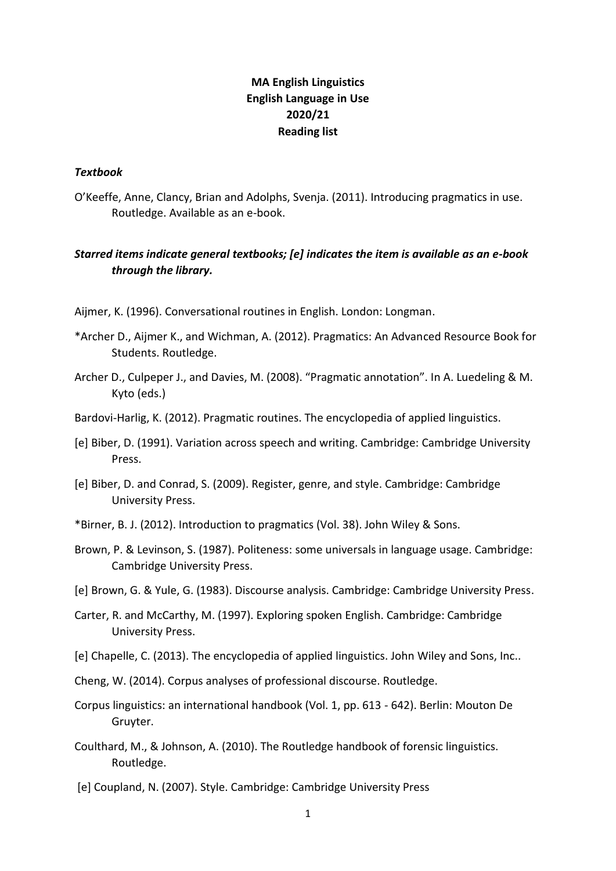# **MA English Linguistics English Language in Use 2020/21 Reading list**

#### *Textbook*

O'Keeffe, Anne, Clancy, Brian and Adolphs, Svenja. (2011). Introducing pragmatics in use. Routledge. Available as an e-book.

## *Starred items indicate general textbooks; [e] indicates the item is available as an e-book through the library.*

- Aijmer, K. (1996). Conversational routines in English. London: Longman.
- \*Archer D., Aijmer K., and Wichman, A. (2012). Pragmatics: An Advanced Resource Book for Students. Routledge.
- Archer D., Culpeper J., and Davies, M. (2008). "Pragmatic annotation". In A. Luedeling & M. Kyto (eds.)
- Bardovi-Harlig, K. (2012). Pragmatic routines. The encyclopedia of applied linguistics.
- [e] Biber, D. (1991). Variation across speech and writing. Cambridge: Cambridge University Press.
- [e] Biber, D. and Conrad, S. (2009). Register, genre, and style. Cambridge: Cambridge University Press.
- \*Birner, B. J. (2012). Introduction to pragmatics (Vol. 38). John Wiley & Sons.
- Brown, P. & Levinson, S. (1987). Politeness: some universals in language usage. Cambridge: Cambridge University Press.
- [e] Brown, G. & Yule, G. (1983). Discourse analysis. Cambridge: Cambridge University Press.
- Carter, R. and McCarthy, M. (1997). Exploring spoken English. Cambridge: Cambridge University Press.
- [e] Chapelle, C. (2013). The encyclopedia of applied linguistics. John Wiley and Sons, Inc..
- Cheng, W. (2014). Corpus analyses of professional discourse. Routledge.
- Corpus linguistics: an international handbook (Vol. 1, pp. 613 642). Berlin: Mouton De Gruyter.
- Coulthard, M., & Johnson, A. (2010). The Routledge handbook of forensic linguistics. Routledge.
- [e] Coupland, N. (2007). Style. Cambridge: Cambridge University Press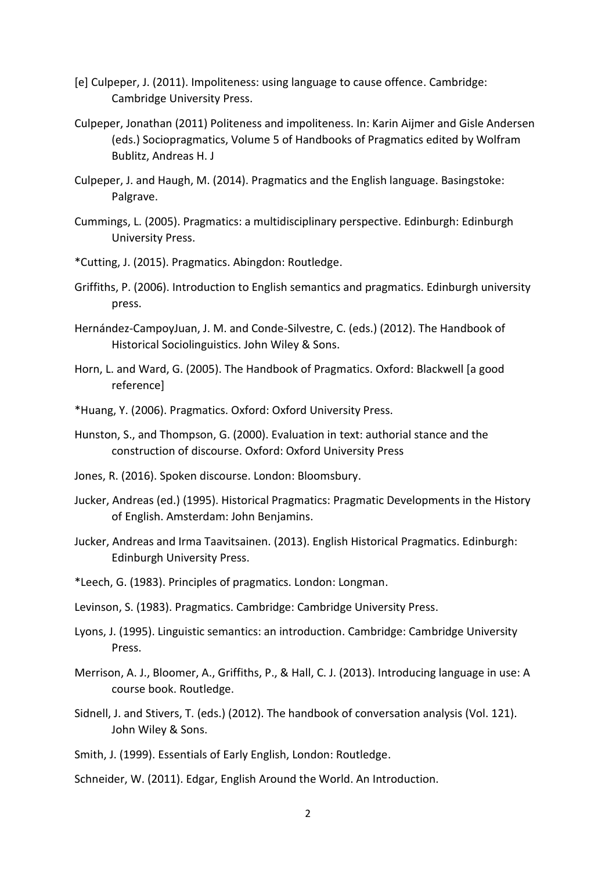- [e] Culpeper, J. (2011). Impoliteness: using language to cause offence. Cambridge: Cambridge University Press.
- Culpeper, Jonathan (2011) Politeness and impoliteness. In: Karin Aijmer and Gisle Andersen (eds.) Sociopragmatics, Volume 5 of Handbooks of Pragmatics edited by Wolfram Bublitz, Andreas H. J
- Culpeper, J. and Haugh, M. (2014). Pragmatics and the English language. Basingstoke: Palgrave.
- Cummings, L. (2005). Pragmatics: a multidisciplinary perspective. Edinburgh: Edinburgh University Press.
- \*Cutting, J. (2015). Pragmatics. Abingdon: Routledge.
- Griffiths, P. (2006). Introduction to English semantics and pragmatics. Edinburgh university press.
- Hernández-CampoyJuan, J. M. and Conde-Silvestre, C. (eds.) (2012). The Handbook of Historical Sociolinguistics. John Wiley & Sons.
- Horn, L. and Ward, G. (2005). The Handbook of Pragmatics. Oxford: Blackwell [a good reference]
- \*Huang, Y. (2006). Pragmatics. Oxford: Oxford University Press.
- Hunston, S., and Thompson, G. (2000). Evaluation in text: authorial stance and the construction of discourse. Oxford: Oxford University Press
- Jones, R. (2016). Spoken discourse. London: Bloomsbury.
- Jucker, Andreas (ed.) (1995). Historical Pragmatics: Pragmatic Developments in the History of English. Amsterdam: John Benjamins.
- Jucker, Andreas and Irma Taavitsainen. (2013). English Historical Pragmatics. Edinburgh: Edinburgh University Press.
- \*Leech, G. (1983). Principles of pragmatics. London: Longman.
- Levinson, S. (1983). Pragmatics. Cambridge: Cambridge University Press.
- Lyons, J. (1995). Linguistic semantics: an introduction. Cambridge: Cambridge University Press.
- Merrison, A. J., Bloomer, A., Griffiths, P., & Hall, C. J. (2013). Introducing language in use: A course book. Routledge.
- Sidnell, J. and Stivers, T. (eds.) (2012). The handbook of conversation analysis (Vol. 121). John Wiley & Sons.
- Smith, J. (1999). Essentials of Early English, London: Routledge.
- Schneider, W. (2011). Edgar, English Around the World. An Introduction.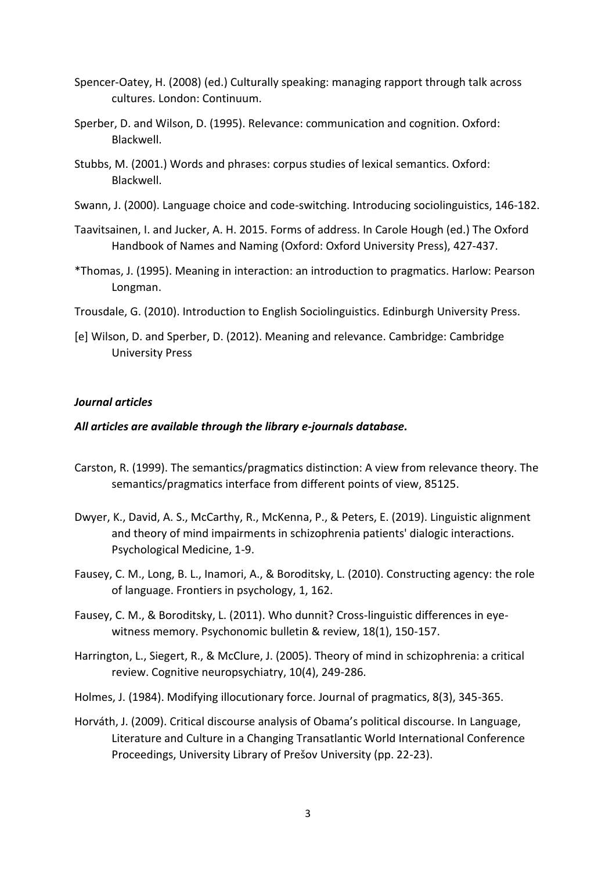- Spencer-Oatey, H. (2008) (ed.) Culturally speaking: managing rapport through talk across cultures. London: Continuum.
- Sperber, D. and Wilson, D. (1995). Relevance: communication and cognition. Oxford: Blackwell.
- Stubbs, M. (2001.) Words and phrases: corpus studies of lexical semantics. Oxford: Blackwell.
- Swann, J. (2000). Language choice and code-switching. Introducing sociolinguistics, 146-182.
- Taavitsainen, I. and Jucker, A. H. 2015. Forms of address. In Carole Hough (ed.) The Oxford Handbook of Names and Naming (Oxford: Oxford University Press), 427-437.
- \*Thomas, J. (1995). Meaning in interaction: an introduction to pragmatics. Harlow: Pearson Longman.
- Trousdale, G. (2010). Introduction to English Sociolinguistics. Edinburgh University Press.
- [e] Wilson, D. and Sperber, D. (2012). Meaning and relevance. Cambridge: Cambridge University Press

### *Journal articles*

### *All articles are available through the library e-journals database.*

- Carston, R. (1999). The semantics/pragmatics distinction: A view from relevance theory. The semantics/pragmatics interface from different points of view, 85125.
- Dwyer, K., David, A. S., McCarthy, R., McKenna, P., & Peters, E. (2019). Linguistic alignment and theory of mind impairments in schizophrenia patients' dialogic interactions. Psychological Medicine, 1-9.
- Fausey, C. M., Long, B. L., Inamori, A., & Boroditsky, L. (2010). Constructing agency: the role of language. Frontiers in psychology, 1, 162.
- Fausey, C. M., & Boroditsky, L. (2011). Who dunnit? Cross-linguistic differences in eyewitness memory. Psychonomic bulletin & review, 18(1), 150-157.
- Harrington, L., Siegert, R., & McClure, J. (2005). Theory of mind in schizophrenia: a critical review. Cognitive neuropsychiatry, 10(4), 249-286.
- Holmes, J. (1984). Modifying illocutionary force. Journal of pragmatics, 8(3), 345-365.
- Horváth, J. (2009). Critical discourse analysis of Obama's political discourse. In Language, Literature and Culture in a Changing Transatlantic World International Conference Proceedings, University Library of Prešov University (pp. 22-23).